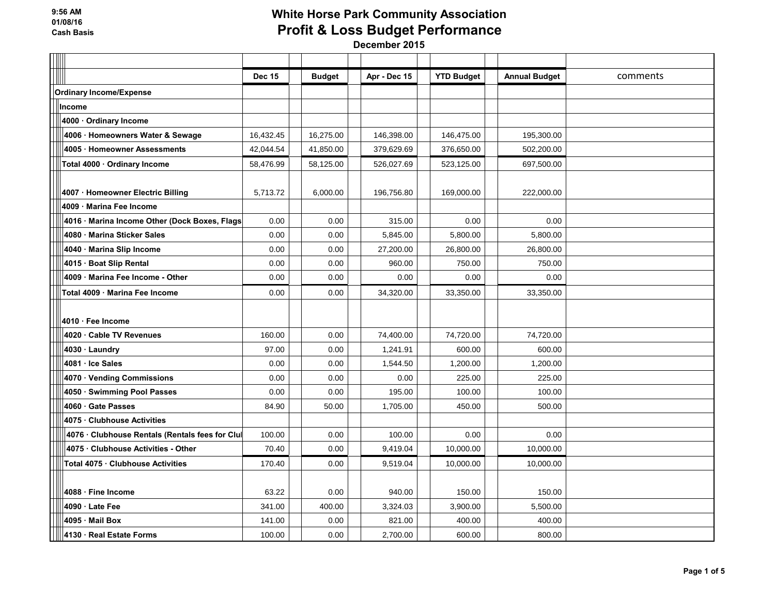|                                                 | <b>Dec 15</b> | <b>Budget</b> | Apr - Dec 15 | <b>YTD Budget</b> | <b>Annual Budget</b> | comments |
|-------------------------------------------------|---------------|---------------|--------------|-------------------|----------------------|----------|
| <b>Ordinary Income/Expense</b>                  |               |               |              |                   |                      |          |
| Income                                          |               |               |              |                   |                      |          |
| 4000 · Ordinary Income                          |               |               |              |                   |                      |          |
| 4006 · Homeowners Water & Sewage                | 16,432.45     | 16,275.00     | 146,398.00   | 146,475.00        | 195,300.00           |          |
| 4005 Homeowner Assessments                      | 42,044.54     | 41,850.00     | 379,629.69   | 376,650.00        | 502,200.00           |          |
| Total 4000 · Ordinary Income                    | 58,476.99     | 58,125.00     | 526,027.69   | 523,125.00        | 697,500.00           |          |
|                                                 |               |               |              |                   |                      |          |
| 4007 · Homeowner Electric Billing               | 5,713.72      | 6,000.00      | 196,756.80   | 169,000.00        | 222,000.00           |          |
| 4009 Marina Fee Income                          |               |               |              |                   |                      |          |
| 4016 · Marina Income Other (Dock Boxes, Flags   | 0.00          | 0.00          | 315.00       | 0.00              | 0.00                 |          |
| 4080 Marina Sticker Sales                       | 0.00          | 0.00          | 5,845.00     | 5,800.00          | 5,800.00             |          |
| 4040 Marina Slip Income                         | 0.00          | 0.00          | 27,200.00    | 26,800.00         | 26,800.00            |          |
| 4015 · Boat Slip Rental                         | 0.00          | 0.00          | 960.00       | 750.00            | 750.00               |          |
| 4009 Marina Fee Income - Other                  | 0.00          | 0.00          | 0.00         | 0.00              | 0.00                 |          |
| Total 4009 · Marina Fee Income                  | 0.00          | 0.00          | 34,320.00    | 33,350.00         | 33,350.00            |          |
|                                                 |               |               |              |                   |                      |          |
| 4010 · Fee Income                               |               |               |              |                   |                      |          |
| 4020 Cable TV Revenues                          | 160.00        | 0.00          | 74,400.00    | 74,720.00         | 74,720.00            |          |
| 4030 · Laundry                                  | 97.00         | 0.00          | 1,241.91     | 600.00            | 600.00               |          |
| 4081 · Ice Sales                                | 0.00          | 0.00          | 1,544.50     | 1,200.00          | 1,200.00             |          |
| 4070 · Vending Commissions                      | 0.00          | 0.00          | 0.00         | 225.00            | 225.00               |          |
| 4050 · Swimming Pool Passes                     | 0.00          | 0.00          | 195.00       | 100.00            | 100.00               |          |
| 4060 Gate Passes                                | 84.90         | 50.00         | 1,705.00     | 450.00            | 500.00               |          |
| 4075 Clubhouse Activities                       |               |               |              |                   |                      |          |
| 4076 · Clubhouse Rentals (Rentals fees for Clul | 100.00        | 0.00          | 100.00       | 0.00              | 0.00                 |          |
| 4075 · Clubhouse Activities - Other             | 70.40         | 0.00          | 9,419.04     | 10,000.00         | 10,000.00            |          |
| Total 4075 · Clubhouse Activities               | 170.40        | 0.00          | 9,519.04     | 10,000.00         | 10,000.00            |          |
|                                                 |               |               |              |                   |                      |          |
| 4088 · Fine Income                              | 63.22         | 0.00          | 940.00       | 150.00            | 150.00               |          |
| 4090 Late Fee                                   | 341.00        | 400.00        | 3,324.03     | 3,900.00          | 5,500.00             |          |
| 4095 · Mail Box                                 | 141.00        | 0.00          | 821.00       | 400.00            | 400.00               |          |
| 4130 Real Estate Forms                          | 100.00        | 0.00          | 2,700.00     | 600.00            | 800.00               |          |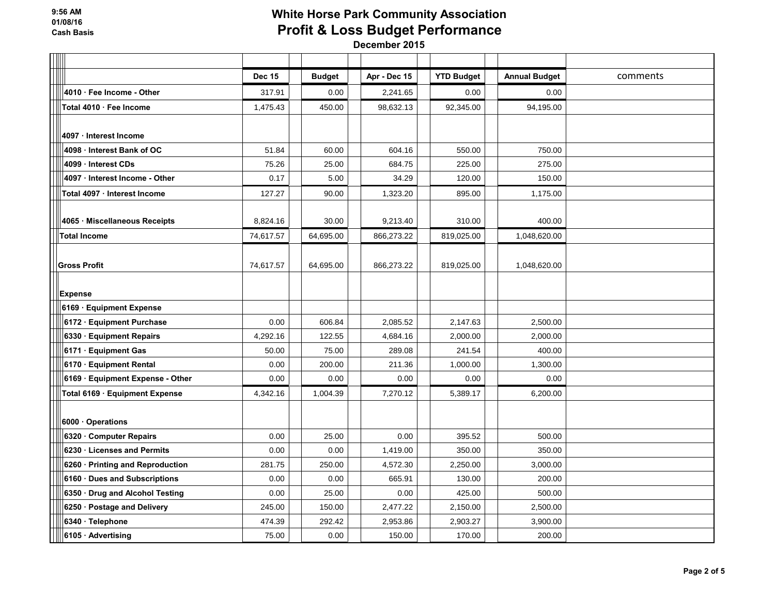|                                  | <b>Dec 15</b> | <b>Budget</b> | Apr - Dec 15 | <b>YTD Budget</b> | <b>Annual Budget</b> | comments |
|----------------------------------|---------------|---------------|--------------|-------------------|----------------------|----------|
| 4010 · Fee Income - Other        | 317.91        | 0.00          | 2,241.65     | 0.00              | 0.00                 |          |
| Total 4010 · Fee Income          | 1,475.43      | 450.00        | 98,632.13    | 92,345.00         | 94,195.00            |          |
|                                  |               |               |              |                   |                      |          |
| 4097 · Interest Income           |               |               |              |                   |                      |          |
| 4098 Interest Bank of OC         | 51.84         | 60.00         | 604.16       | 550.00            | 750.00               |          |
| 4099 · Interest CDs              | 75.26         | 25.00         | 684.75       | 225.00            | 275.00               |          |
| 4097 · Interest Income - Other   | 0.17          | 5.00          | 34.29        | 120.00            | 150.00               |          |
| Total 4097 · Interest Income     | 127.27        | 90.00         | 1,323.20     | 895.00            | 1,175.00             |          |
|                                  |               |               |              |                   |                      |          |
| 4065 · Miscellaneous Receipts    | 8,824.16      | 30.00         | 9,213.40     | 310.00            | 400.00               |          |
| <b>Total Income</b>              | 74,617.57     | 64,695.00     | 866,273.22   | 819,025.00        | 1,048,620.00         |          |
|                                  |               |               |              |                   |                      |          |
| <b>Gross Profit</b>              | 74,617.57     | 64,695.00     | 866,273.22   | 819,025.00        | 1,048,620.00         |          |
|                                  |               |               |              |                   |                      |          |
| <b>Expense</b>                   |               |               |              |                   |                      |          |
| 6169 · Equipment Expense         |               |               |              |                   |                      |          |
| 6172 · Equipment Purchase        | 0.00          | 606.84        | 2,085.52     | 2,147.63          | 2,500.00             |          |
| 6330 · Equipment Repairs         | 4,292.16      | 122.55        | 4,684.16     | 2,000.00          | 2,000.00             |          |
| 6171 · Equipment Gas             | 50.00         | 75.00         | 289.08       | 241.54            | 400.00               |          |
| 6170 · Equipment Rental          | 0.00          | 200.00        | 211.36       | 1,000.00          | 1,300.00             |          |
| 6169 · Equipment Expense - Other | 0.00          | 0.00          | 0.00         | 0.00              | 0.00                 |          |
| Total 6169 · Equipment Expense   | 4,342.16      | 1,004.39      | 7,270.12     | 5,389.17          | 6,200.00             |          |
|                                  |               |               |              |                   |                      |          |
| 6000 Operations                  |               |               |              |                   |                      |          |
| 6320 · Computer Repairs          | 0.00          | 25.00         | 0.00         | 395.52            | 500.00               |          |
| 6230 Licenses and Permits        | 0.00          | 0.00          | 1,419.00     | 350.00            | 350.00               |          |
| 6260 Printing and Reproduction   | 281.75        | 250.00        | 4,572.30     | 2,250.00          | 3,000.00             |          |
| 6160 · Dues and Subscriptions    | 0.00          | 0.00          | 665.91       | 130.00            | 200.00               |          |
| 6350 · Drug and Alcohol Testing  | 0.00          | 25.00         | 0.00         | 425.00            | 500.00               |          |
| 6250 · Postage and Delivery      | 245.00        | 150.00        | 2,477.22     | 2,150.00          | 2,500.00             |          |
| 6340 · Telephone                 | 474.39        | 292.42        | 2,953.86     | 2,903.27          | 3,900.00             |          |
| 6105 Advertising                 | 75.00         | 0.00          | 150.00       | 170.00            | 200.00               |          |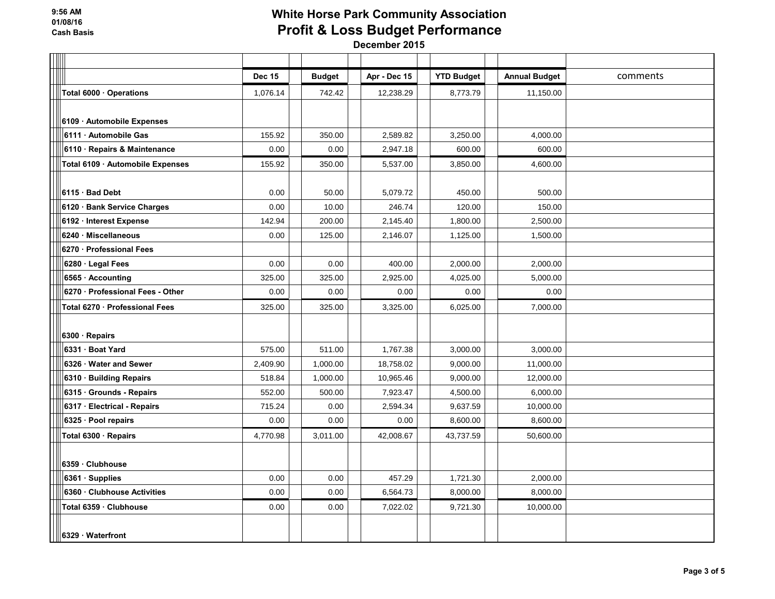|                                  | <b>Dec 15</b> | <b>Budget</b> | Apr - Dec 15 | <b>YTD Budget</b> | <b>Annual Budget</b> | comments |
|----------------------------------|---------------|---------------|--------------|-------------------|----------------------|----------|
| Total 6000 · Operations          | 1,076.14      | 742.42        | 12,238.29    | 8,773.79          | 11,150.00            |          |
|                                  |               |               |              |                   |                      |          |
| 6109 · Automobile Expenses       |               |               |              |                   |                      |          |
| 6111 Automobile Gas              | 155.92        | 350.00        | 2,589.82     | 3,250.00          | 4,000.00             |          |
| 6110 · Repairs & Maintenance     | 0.00          | 0.00          | 2,947.18     | 600.00            | 600.00               |          |
| Total 6109 Automobile Expenses   | 155.92        | 350.00        | 5,537.00     | 3,850.00          | 4,600.00             |          |
|                                  |               |               |              |                   |                      |          |
| 6115 Bad Debt                    | 0.00          | 50.00         | 5,079.72     | 450.00            | 500.00               |          |
| 6120 · Bank Service Charges      | 0.00          | 10.00         | 246.74       | 120.00            | 150.00               |          |
| 6192 · Interest Expense          | 142.94        | 200.00        | 2,145.40     | 1,800.00          | 2,500.00             |          |
| 6240 Miscellaneous               | 0.00          | 125.00        | 2,146.07     | 1,125.00          | 1,500.00             |          |
| 6270 · Professional Fees         |               |               |              |                   |                      |          |
| 6280 · Legal Fees                | 0.00          | 0.00          | 400.00       | 2,000.00          | 2,000.00             |          |
| 6565 · Accounting                | 325.00        | 325.00        | 2,925.00     | 4,025.00          | 5,000.00             |          |
| 6270 · Professional Fees - Other | 0.00          | 0.00          | 0.00         | 0.00              | 0.00                 |          |
| Total 6270 · Professional Fees   | 325.00        | 325.00        | 3,325.00     | 6,025.00          | 7,000.00             |          |
|                                  |               |               |              |                   |                      |          |
| 6300 · Repairs                   |               |               |              |                   |                      |          |
| 6331 Boat Yard                   | 575.00        | 511.00        | 1,767.38     | 3,000.00          | 3,000.00             |          |
| 6326 Water and Sewer             | 2,409.90      | 1,000.00      | 18,758.02    | 9,000.00          | 11,000.00            |          |
| 6310 · Building Repairs          | 518.84        | 1,000.00      | 10,965.46    | 9,000.00          | 12,000.00            |          |
| 6315 · Grounds - Repairs         | 552.00        | 500.00        | 7,923.47     | 4,500.00          | 6,000.00             |          |
| 6317 · Electrical - Repairs      | 715.24        | 0.00          | 2,594.34     | 9,637.59          | 10,000.00            |          |
| 6325 · Pool repairs              | 0.00          | 0.00          | 0.00         | 8,600.00          | 8,600.00             |          |
| Total 6300 · Repairs             | 4,770.98      | 3,011.00      | 42,008.67    | 43,737.59         | 50,600.00            |          |
|                                  |               |               |              |                   |                      |          |
| 6359 Clubhouse                   |               |               |              |                   |                      |          |
| 6361 Supplies                    | 0.00          | 0.00          | 457.29       | 1,721.30          | 2,000.00             |          |
| 6360 Clubhouse Activities        | 0.00          | 0.00          | 6,564.73     | 8,000.00          | 8,000.00             |          |
| Total 6359 · Clubhouse           | 0.00          | 0.00          | 7,022.02     | 9,721.30          | 10,000.00            |          |
|                                  |               |               |              |                   |                      |          |
| 6329 · Waterfront                |               |               |              |                   |                      |          |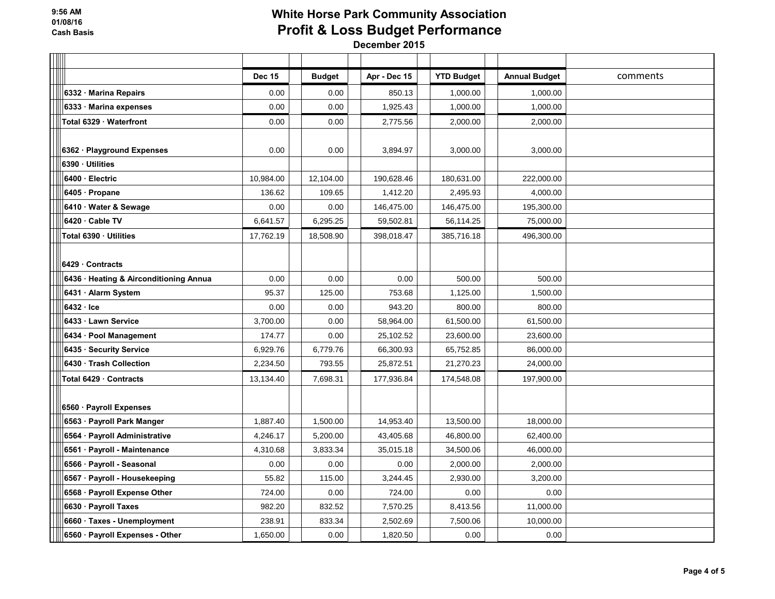|                                        | <b>Dec 15</b> | <b>Budget</b> | Apr - Dec 15 | <b>YTD Budget</b> | <b>Annual Budget</b> | comments |
|----------------------------------------|---------------|---------------|--------------|-------------------|----------------------|----------|
| 6332 · Marina Repairs                  | 0.00          | 0.00          | 850.13       | 1,000.00          | 1,000.00             |          |
| 6333 Marina expenses                   | 0.00          | 0.00          | 1,925.43     | 1,000.00          | 1,000.00             |          |
| Total 6329 · Waterfront                | 0.00          | 0.00          | 2,775.56     | 2,000.00          | 2,000.00             |          |
|                                        |               |               |              |                   |                      |          |
| 6362 · Playground Expenses             | 0.00          | 0.00          | 3,894.97     | 3,000.00          | 3,000.00             |          |
| 6390 Utilities                         |               |               |              |                   |                      |          |
| 6400 · Electric                        | 10,984.00     | 12,104.00     | 190,628.46   | 180,631.00        | 222,000.00           |          |
| 6405 · Propane                         | 136.62        | 109.65        | 1,412.20     | 2,495.93          | 4,000.00             |          |
| 6410 · Water & Sewage                  | 0.00          | 0.00          | 146,475.00   | 146,475.00        | 195,300.00           |          |
| 6420 Cable TV                          | 6,641.57      | 6,295.25      | 59,502.81    | 56,114.25         | 75,000.00            |          |
| Total 6390 · Utilities                 | 17,762.19     | 18,508.90     | 398,018.47   | 385,716.18        | 496,300.00           |          |
|                                        |               |               |              |                   |                      |          |
| 6429 Contracts                         |               |               |              |                   |                      |          |
| 6436 · Heating & Airconditioning Annua | 0.00          | 0.00          | 0.00         | 500.00            | 500.00               |          |
| 6431 · Alarm System                    | 95.37         | 125.00        | 753.68       | 1,125.00          | 1,500.00             |          |
| 6432 Ice                               | 0.00          | 0.00          | 943.20       | 800.00            | 800.00               |          |
| 6433 Lawn Service                      | 3,700.00      | 0.00          | 58,964.00    | 61,500.00         | 61,500.00            |          |
| 6434 · Pool Management                 | 174.77        | 0.00          | 25,102.52    | 23,600.00         | 23,600.00            |          |
| 6435 · Security Service                | 6,929.76      | 6,779.76      | 66,300.93    | 65,752.85         | 86,000.00            |          |
| 6430 Trash Collection                  | 2,234.50      | 793.55        | 25,872.51    | 21,270.23         | 24,000.00            |          |
| Total 6429 Contracts                   | 13,134.40     | 7,698.31      | 177,936.84   | 174,548.08        | 197,900.00           |          |
|                                        |               |               |              |                   |                      |          |
| 6560 · Payroll Expenses                |               |               |              |                   |                      |          |
| 6563 · Payroll Park Manger             | 1,887.40      | 1,500.00      | 14,953.40    | 13,500.00         | 18,000.00            |          |
| 6564 · Payroll Administrative          | 4,246.17      | 5,200.00      | 43,405.68    | 46,800.00         | 62,400.00            |          |
| 6561 · Payroll - Maintenance           | 4,310.68      | 3,833.34      | 35,015.18    | 34,500.06         | 46,000.00            |          |
| 6566 Payroll - Seasonal                | 0.00          | 0.00          | 0.00         | 2,000.00          | 2,000.00             |          |
| 6567 · Payroll - Housekeeping          | 55.82         | 115.00        | 3.244.45     | 2.930.00          | 3.200.00             |          |
| 6568 · Payroll Expense Other           | 724.00        | 0.00          | 724.00       | 0.00              | 0.00                 |          |
| 6630 · Payroll Taxes                   | 982.20        | 832.52        | 7,570.25     | 8,413.56          | 11,000.00            |          |
| 6660 · Taxes - Unemployment            | 238.91        | 833.34        | 2,502.69     | 7,500.06          | 10,000.00            |          |
| 6560 · Payroll Expenses - Other        | 1,650.00      | 0.00          | 1,820.50     | 0.00              | 0.00                 |          |